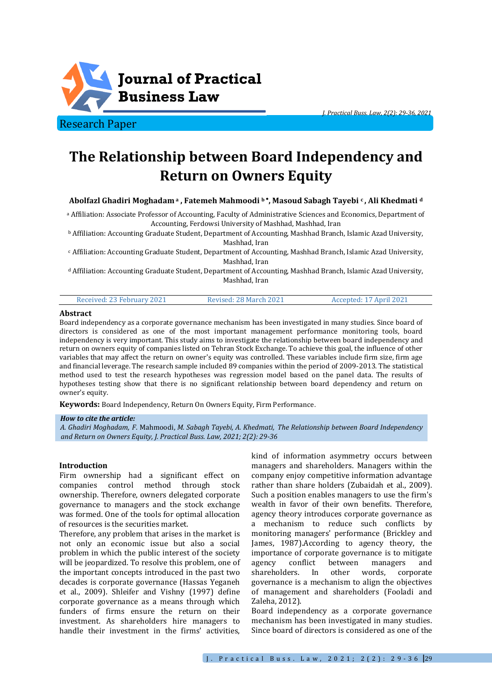

Research Paper

# **The Relationship between Board Independency and Return on Owners Equity**

# **Abolfazl Ghadiri Moghadam <sup>a</sup> , Fatemeh Mahmoodi <sup>b</sup> , Masoud Sabagh Tayebi <sup>c</sup> , Ali Khedmati <sup>d</sup>**

<sup>a</sup> Affiliation: Associate Professor of Accounting, Faculty of Administrative Sciences and Economics, Department of Accounting, Ferdowsi University of Mashhad, Mashhad, Iran

<sup>b</sup> Affiliation: Accounting Graduate Student, Department of Accounting, Mashhad Branch, Islamic Azad University, Mashhad, Iran

<sup>c</sup> Affiliation: Accounting Graduate Student, Department of Accounting, Mashhad Branch, Islamic Azad University, Mashhad, Iran

<sup>d</sup> Affiliation: Accounting Graduate Student, Department of Accounting, Mashhad Branch, Islamic Azad University, Mashhad, Iran

#### **Abstract**

Board independency as a corporate governance mechanism has been investigated in many studies. Since board of directors is considered as one of the most important management performance monitoring tools, board independency is very important. This study aims to investigate the relationship between board independency and return on owners equity of companies listed on Tehran Stock Exchange. To achieve this goal, the influence of other variables that may affect the return on owner's equity was controlled. These variables include firm size, firm age and financial leverage. The research sample included 89 companies within the period of 2009-2013. The statistical method used to test the research hypotheses was regression model based on the panel data. The results of hypotheses testing show that there is no significant relationship between board dependency and return on owner's equity.

**Keywords:** Board Independency, Return On Owners Equity, Firm Performance.

#### *How to cite the article:*

*A. Ghadiri Moghadam, F*. Mahmoodi, *M. Sabagh Tayebi, A. Khedmati, The Relationship between Board Independency and Return on Owners Equity, J. Practical Buss. Law, 2021; 2(2): 29-36*

#### **Introduction**

Firm ownership had a significant effect on companies control method through stock ownership. Therefore, owners delegated corporate governance to managers and the stock exchange was formed. One of the tools for optimal allocation of resources is the securities market.

Therefore, any problem that arises in the market is not only an economic issue but also a social problem in which the public interest of the society will be jeopardized. To resolve this problem, one of the important concepts introduced in the past two decades is corporate governance (Hassas Yeganeh et al., 2009). Shleifer and Vishny (1997) define corporate governance as a means through which funders of firms ensure the return on their investment. As shareholders hire managers to handle their investment in the firms' activities,

kind of information asymmetry occurs between managers and shareholders. Managers within the company enjoy competitive information advantage rather than share holders (Zubaidah et al., 2009). Such a position enables managers to use the firm's wealth in favor of their own benefits. Therefore, agency theory introduces corporate governance as a mechanism to reduce such conflicts by monitoring managers' performance (Brickley and James, 1987).According to agency theory, the importance of corporate governance is to mitigate agency conflict between managers and shareholders. In other words, corporate governance is a mechanism to align the objectives of management and shareholders (Fooladi and Zaleha, 2012).

Board independency as a corporate governance mechanism has been investigated in many studies. Since board of directors is considered as one of the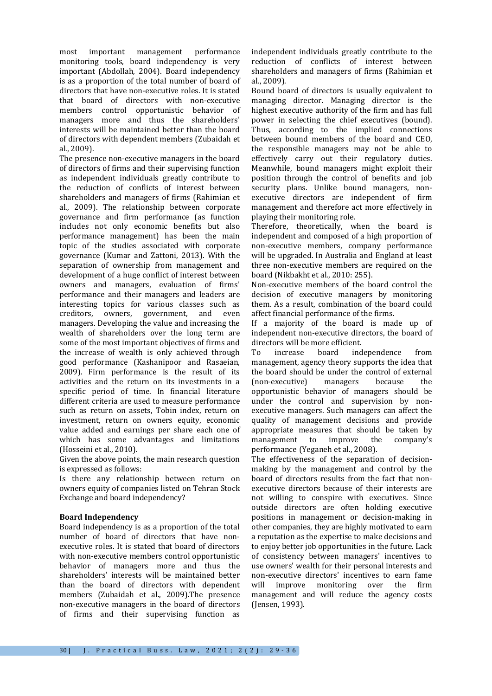most important management performance monitoring tools, board independency is very important (Abdollah, 2004). Board independency is as a proportion of the total number of board of directors that have non-executive roles. It is stated that board of directors with non-executive members control opportunistic behavior of managers more and thus the shareholders' interests will be maintained better than the board of directors with dependent members (Zubaidah et al., 2009).

The presence non-executive managers in the board of directors of firms and their supervising function as independent individuals greatly contribute to the reduction of conflicts of interest between shareholders and managers of firms (Rahimian et al., 2009). The relationship between corporate governance and firm performance (as function includes not only economic benefits but also performance management) has been the main topic of the studies associated with corporate governance (Kumar and Zattoni, 2013). With the separation of ownership from management and development of a huge conflict of interest between owners and managers, evaluation of firms' performance and their managers and leaders are interesting topics for various classes such as creditors, owners, government, and even managers. Developing the value and increasing the wealth of shareholders over the long term are some of the most important objectives of firms and the increase of wealth is only achieved through good performance (Kashanipoor and Rasaeian, 2009). Firm performance is the result of its activities and the return on its investments in a specific period of time. In financial literature different criteria are used to measure performance such as return on assets, Tobin index, return on investment, return on owners equity, economic value added and earnings per share each one of which has some advantages and limitations (Hosseini et al., 2010).

Given the above points, the main research question is expressed as follows:

Is there any relationship between return on owners equity of companies listed on Tehran Stock Exchange and board independency?

# **Board Independency**

Board independency is as a proportion of the total number of board of directors that have nonexecutive roles. It is stated that board of directors with non-executive members control opportunistic behavior of managers more and thus the shareholders' interests will be maintained better than the board of directors with dependent members (Zubaidah et al., 2009).The presence non-executive managers in the board of directors of firms and their supervising function as independent individuals greatly contribute to the reduction of conflicts of interest between shareholders and managers of firms (Rahimian et al., 2009).

Bound board of directors is usually equivalent to managing director. Managing director is the highest executive authority of the firm and has full power in selecting the chief executives (bound). Thus, according to the implied connections between bound members of the board and CEO, the responsible managers may not be able to effectively carry out their regulatory duties. Meanwhile, bound managers might exploit their position through the control of benefits and job security plans. Unlike bound managers, nonexecutive directors are independent of firm management and therefore act more effectively in playing their monitoring role.

Therefore, theoretically, when the board is independent and composed of a high proportion of non-executive members, company performance will be upgraded. In Australia and England at least three non-executive members are required on the board (Nikbakht et al., 2010: 255).

Non-executive members of the board control the decision of executive managers by monitoring them. As a result, combination of the board could affect financial performance of the firms.

If a majority of the board is made up of independent non-executive directors, the board of directors will be more efficient.

To increase board independence from management, agency theory supports the idea that the board should be under the control of external (non-executive) managers because the opportunistic behavior of managers should be under the control and supervision by nonexecutive managers. Such managers can affect the quality of management decisions and provide appropriate measures that should be taken by management to improve the company's performance (Yeganeh et al., 2008).

The effectiveness of the separation of decisionmaking by the management and control by the board of directors results from the fact that nonexecutive directors because of their interests are not willing to conspire with executives. Since outside directors are often holding executive positions in management or decision-making in other companies, they are highly motivated to earn a reputation as the expertise to make decisions and to enjoy better job opportunities in the future. Lack of consistency between managers' incentives to use owners' wealth for their personal interests and non-executive directors' incentives to earn fame will improve monitoring over the firm management and will reduce the agency costs (Jensen, 1993).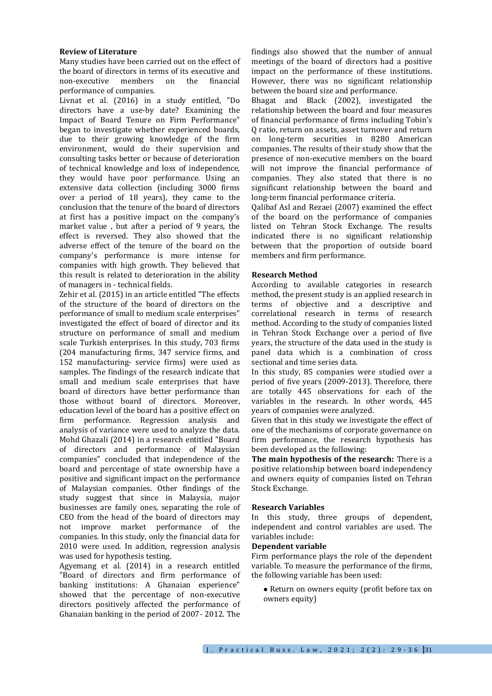## **Review of Literature**

Many studies have been carried out on the effect of the board of directors in terms of its executive and non-executive members on the financial performance of companies.

Livnat et al. (2016) in a study entitled, "Do directors have a use-by date? Examining the Impact of Board Tenure on Firm Performance" began to investigate whether experienced boards, due to their growing knowledge of the firm environment, would do their supervision and consulting tasks better or because of deterioration of technical knowledge and loss of independence, they would have poor performance. Using an extensive data collection (including 3000 firms over a period of 18 years), they came to the conclusion that the tenure of the board of directors at first has a positive impact on the company's market value , but after a period of 9 years, the effect is reversed. They also showed that the adverse effect of the tenure of the board on the company's performance is more intense for companies with high growth. They believed that this result is related to deterioration in the ability of managers in - technical fields.

Zehir et al. (2015) in an article entitled "The effects of the structure of the board of directors on the performance of small to medium scale enterprises" investigated the effect of board of director and its structure on performance of small and medium scale Turkish enterprises. In this study, 703 firms (204 manufacturing firms, 347 service firms, and 152 manufacturing- service firms) were used as samples. The findings of the research indicate that small and medium scale enterprises that have board of directors have better performance than those without board of directors. Moreover, education level of the board has a positive effect on firm performance. Regression analysis and analysis of variance were used to analyze the data. Mohd Ghazali (2014) in a research entitled "Board of directors and performance of Malaysian companies" concluded that independence of the board and percentage of state ownership have a positive and significant impact on the performance of Malaysian companies. Other findings of the study suggest that since in Malaysia, major businesses are family ones, separating the role of CEO from the head of the board of directors may not improve market performance of the companies. In this study, only the financial data for 2010 were used. In addition, regression analysis was used for hypothesis testing.

Agyemang et al. (2014) in a research entitled "Board of directors and firm performance of banking institutions: A Ghanaian experience" showed that the percentage of non-executive directors positively affected the performance of Ghanaian banking in the period of 2007- 2012. The findings also showed that the number of annual meetings of the board of directors had a positive impact on the performance of these institutions. However, there was no significant relationship between the board size and performance.

Bhagat and Black (2002), investigated the relationship between the board and four measures of financial performance of firms including Tobin's Q ratio, return on assets, asset turnover and return on long-term securities in 8280 American companies. The results of their study show that the presence of non-executive members on the board will not improve the financial performance of companies. They also stated that there is no significant relationship between the board and long-term financial performance criteria.

Qalibaf Asl and Rezaei (2007) examined the effect of the board on the performance of companies listed on Tehran Stock Exchange. The results indicated there is no significant relationship between that the proportion of outside board members and firm performance.

## **Research Method**

According to available categories in research method, the present study is an applied research in terms of objective and a descriptive and correlational research in terms of research method. According to the study of companies listed in Tehran Stock Exchange over a period of five years, the structure of the data used in the study is panel data which is a combination of cross sectional and time series data.

In this study, 85 companies were studied over a period of five years (2009-2013). Therefore, there are totally 445 observations for each of the variables in the research. In other words, 445 years of companies were analyzed.

Given that in this study we investigate the effect of one of the mechanisms of corporate governance on firm performance, the research hypothesis has been developed as the following:

**The main hypothesis of the research:** There is a positive relationship between board independency and owners equity of companies listed on Tehran Stock Exchange.

#### **Research Variables**

In this study, three groups of dependent, independent and control variables are used. The variables include:

#### **Dependent variable**

Firm performance plays the role of the dependent variable. To measure the performance of the firms, the following variable has been used:

 Return on owners equity (profit before tax on owners equity)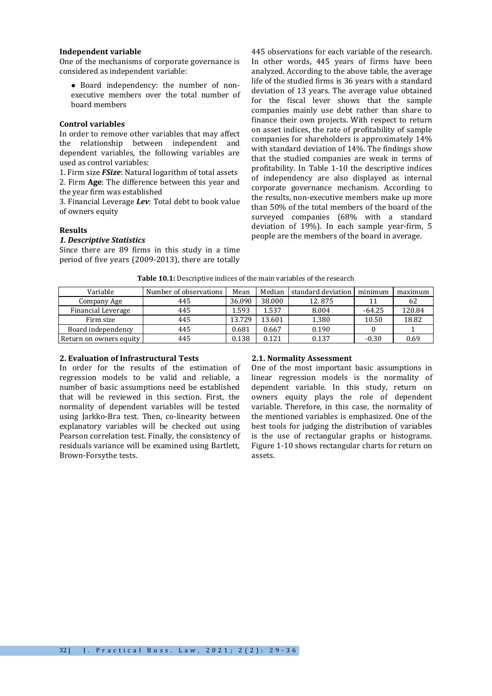## **Independent variable**

One of the mechanisms of corporate governance is considered as independent variable:

 Board independency: the number of nonexecutive members over the total number of board members

#### **Control variables**

In order to remove other variables that may affect the relationship between independent and dependent variables, the following variables are used as control variables:

1. Firm size *FSize*: Natural logarithm of total assets 2. Firm **Age**: The difference between this year and the year firm was established

3. Financial Leverage *Lev*: Total debt to book value of owners equity

## **Results**

## *1. Descriptive Statistics*

Since there are 89 firms in this study in a time period of five years (2009-2013), there are totally

445 observations for each variable of the research. In other words, 445 years of firms have been analyzed. According to the above table, the average life of the studied firms is 36 years with a standard deviation of 13 years. The average value obtained for the fiscal lever shows that the sample companies mainly use debt rather than share to finance their own projects. With respect to return on asset indices, the rate of profitability of sample companies for shareholders is approximately 14% with standard deviation of 14%. The findings show that the studied companies are weak in terms of profitability. In Table 1-10 the descriptive indices of independency are also displayed as internal corporate governance mechanism. According to the results, non-executive members make up more than 50% of the total members of the board of the surveyed companies (68% with a standard deviation of 19%). In each sample year-firm, 5 people are the members of the board in average.

| Variable                | Number of observations | Mean   | Median | standard deviation | minimum  | maximum |
|-------------------------|------------------------|--------|--------|--------------------|----------|---------|
| Company Age             | 445                    | 36.090 | 38.000 | 12.875             |          | 62      |
| Financial Leverage      | 445                    | 1.593  | 1.537  | 8.004              | $-64.25$ | 120.84  |
| Firm size               | 445                    | 13.729 | 13.601 | 1.380              | 10.50    | 18.82   |
| Board independency      | 445                    | 0.681  | 0.667  | 0.190              |          |         |
| Return on owners equity | 445                    | 0.138  | 0.121  | 0.137              | $-0.30$  | 0.69    |

**Table 10.1:** Descriptive indices of the main variables of the research

# **2. Evaluation of Infrastructural Tests**

In order for the results of the estimation of regression models to be valid and reliable, a number of basic assumptions need be established that will be reviewed in this section. First, the normality of dependent variables will be tested using Jarkko-Bra test. Then, co-linearity between explanatory variables will be checked out using Pearson correlation test. Finally, the consistency of residuals variance will be examined using Bartlett, Brown-Forsythe tests.

## **2.1. Normality Assessment**

One of the most important basic assumptions in linear regression models is the normality of dependent variable. In this study, return on owners equity plays the role of dependent variable. Therefore, in this case, the normality of the mentioned variables is emphasized. One of the best tools for judging the distribution of variables is the use of rectangular graphs or histograms. Figure 1-10 shows rectangular charts for return on assets.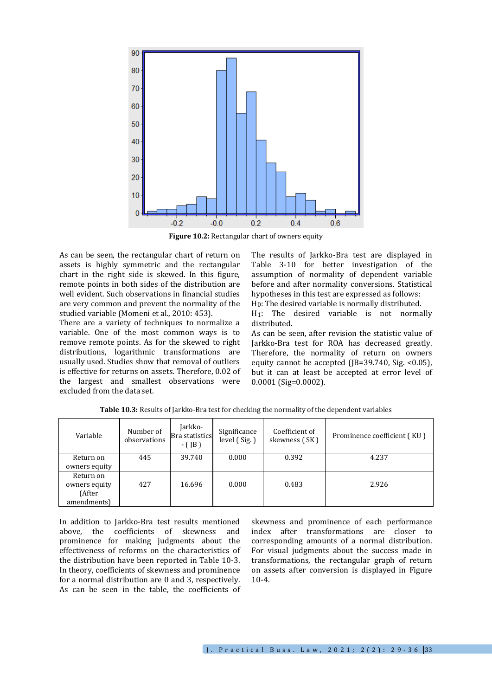

**Figure 10.2:** Rectangular chart of owners equity

As can be seen, the rectangular chart of return on assets is highly symmetric and the rectangular chart in the right side is skewed. In this figure, remote points in both sides of the distribution are well evident. Such observations in financial studies are very common and prevent the normality of the studied variable (Momeni et al., 2010: 453).

There are a variety of techniques to normalize a variable. One of the most common ways is to remove remote points. As for the skewed to right distributions, logarithmic transformations are usually used. Studies show that removal of outliers is effective for returns on assets. Therefore, 0.02 of the largest and smallest observations were excluded from the data set.

The results of Jarkko-Bra test are displayed in Table 3-10 for better investigation of the assumption of normality of dependent variable before and after normality conversions. Statistical hypotheses in this test are expressed as follows: H0: The desired variable is normally distributed.

H1: The desired variable is not normally distributed.

As can be seen, after revision the statistic value of Jarkko-Bra test for ROA has decreased greatly. Therefore, the normality of return on owners equity cannot be accepted ( $[B=39.740, Sig. <0.05]$ ), but it can at least be accepted at error level of 0.0001 (Sig=0.0002).

| Variable      | Number of<br>observations | Jarkko-<br>Bra statistics<br>$-(JB)$ | Significance<br>level (Sig.) | Coefficient of<br>skewness (SK) | Prominence coefficient (KU) |
|---------------|---------------------------|--------------------------------------|------------------------------|---------------------------------|-----------------------------|
| Return on     | 445                       | 39.740                               | 0.000                        | 0.392                           | 4.237                       |
| owners equity |                           |                                      |                              |                                 |                             |
| Return on     |                           |                                      |                              |                                 |                             |
| owners equity | 427                       | 16.696                               | 0.000                        | 0.483                           | 2.926                       |
| (After        |                           |                                      |                              |                                 |                             |
| amendments)   |                           |                                      |                              |                                 |                             |

**Table 10.3:** Results of Jarkko-Bra test for checking the normality of the dependent variables

In addition to Jarkko-Bra test results mentioned above, the coefficients of skewness and prominence for making judgments about the effectiveness of reforms on the characteristics of the distribution have been reported in Table 10-3. In theory, coefficients of skewness and prominence for a normal distribution are 0 and 3, respectively. As can be seen in the table, the coefficients of skewness and prominence of each performance index after transformations are closer to corresponding amounts of a normal distribution. For visual judgments about the success made in transformations, the rectangular graph of return on assets after conversion is displayed in Figure 10-4.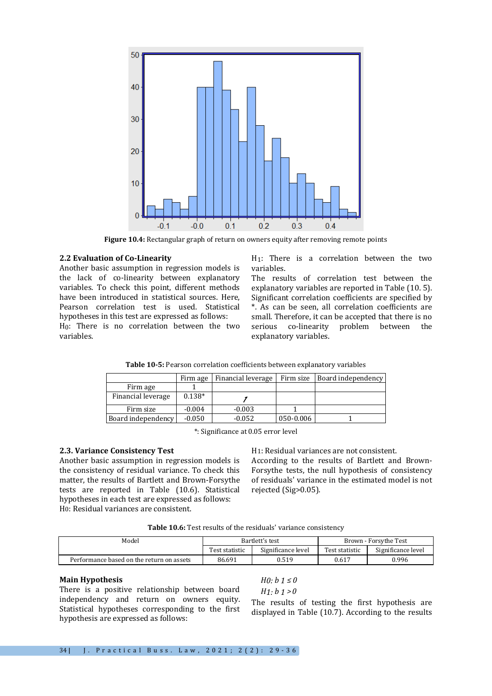

**Figure 10.4:** Rectangular graph of return on owners equity after removing remote points

## **2.2 Evaluation of Co-Linearity**

Another basic assumption in regression models is the lack of co-linearity between explanatory variables. To check this point, different methods have been introduced in statistical sources. Here, Pearson correlation test is used. Statistical hypotheses in this test are expressed as follows:

H0: There is no correlation between the two variables.

H1: There is a correlation between the two variables.

The results of correlation test between the explanatory variables are reported in Table (10. 5). Significant correlation coefficients are specified by \*. As can be seen, all correlation coefficients are small. Therefore, it can be accepted that there is no serious co-linearity problem between the explanatory variables.

|                    | Firm age | Financial leverage |           | Firm size Board independency |
|--------------------|----------|--------------------|-----------|------------------------------|
| Firm age           |          |                    |           |                              |
| Financial leverage | $0.138*$ |                    |           |                              |
| Firm size          | $-0.004$ | $-0.003$           |           |                              |
| Board independency | $-0.050$ | $-0.052$           | 050-0.006 |                              |

**Table 10-5:** Pearson correlation coefficients between explanatory variables

\*: Significance at 0.05 error level

# **2.3. Variance Consistency Test**

Another basic assumption in regression models is the consistency of residual variance. To check this matter, the results of Bartlett and Brown-Forsythe tests are reported in Table (10.6). Statistical hypotheses in each test are expressed as follows: H0: Residual variances are consistent.

H1: Residual variances are not consistent.

According to the results of Bartlett and Brown-Forsythe tests, the null hypothesis of consistency of residuals' variance in the estimated model is not rejected (Sig>0.05).

**Table 10.6:** Test results of the residuals' variance consistency

| Model                                     | Bartlett's test |                    | Brown - Forsythe Test |                    |  |
|-------------------------------------------|-----------------|--------------------|-----------------------|--------------------|--|
|                                           | Test statistic  | Significance level | Test statistic        | Significance level |  |
| Performance based on the return on assets | 86.691          | 0.519              | 0.617                 | 0.996              |  |

## **Main Hypothesis**

There is a positive relationship between board independency and return on owners equity. Statistical hypotheses corresponding to the first hypothesis are expressed as follows:

*H0:*  $b$  1 ≤ 0 *H1: b 1 >0*

The results of testing the first hypothesis are displayed in Table (10.7). According to the results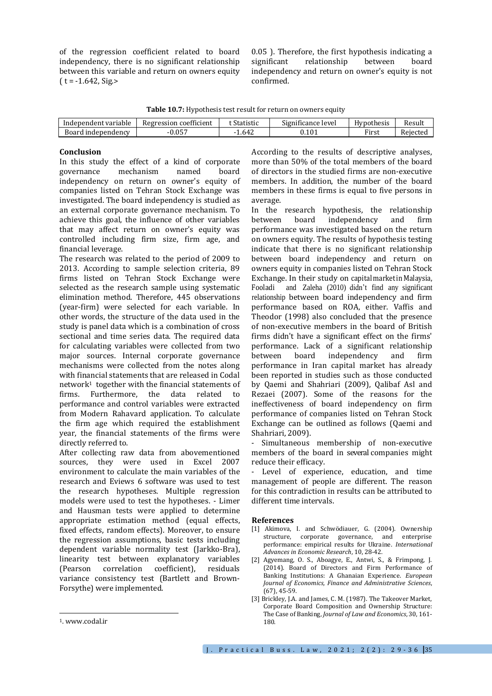of the regression coefficient related to board independency, there is no significant relationship between this variable and return on owners equity  $(t = -1.642, Sig.$ 

0.05 ). Therefore, the first hypothesis indicating a significant relationship between board independency and return on owner's equity is not confirmed.

**Table 10.7:** Hypothesis test result for return on owners equity

| Independent variable    | $^{cc}$<br>coefficient ا<br>Regression | Statistic    | $\cdot$ $\sim$<br>$\sim$<br>Significance level | Hypothesis        | Result   |
|-------------------------|----------------------------------------|--------------|------------------------------------------------|-------------------|----------|
| Board<br>l independency | 0.057                                  | 1.642<br>- 1 | $\rm 0.101$                                    | <sup>r</sup> irst | Rejected |

## **Conclusion**

In this study the effect of a kind of corporate governance mechanism named board independency on return on owner's equity of companies listed on Tehran Stock Exchange was investigated. The board independency is studied as an external corporate governance mechanism. To achieve this goal, the influence of other variables that may affect return on owner's equity was controlled including firm size, firm age, and financial leverage.

The research was related to the period of 2009 to 2013. According to sample selection criteria, 89 firms listed on Tehran Stock Exchange were selected as the research sample using systematic elimination method. Therefore, 445 observations (year-firm) were selected for each variable. In other words, the structure of the data used in the study is panel data which is a combination of cross sectional and time series data. The required data for calculating variables were collected from two major sources. Internal corporate governance mechanisms were collected from the notes along with financial statements that are released in Codal network<sup>1</sup> together with the financial statements of firms. Furthermore, the data related to performance and control variables were extracted from Modern Rahavard application. To calculate the firm age which required the establishment year, the financial statements of the firms were directly referred to.

After collecting raw data from abovementioned sources, they were used in Excel 2007 environment to calculate the main variables of the research and Eviews 6 software was used to test the research hypotheses. Multiple regression models were used to test the hypotheses. - Limer and Hausman tests were applied to determine appropriate estimation method (equal effects, fixed effects, random effects). Moreover, to ensure the regression assumptions, basic tests including dependent variable normality test (Jarkko-Bra), linearity test between explanatory variables (Pearson correlation coefficient), residuals variance consistency test (Bartlett and Brown-Forsythe) were implemented.

According to the results of descriptive analyses, more than 50% of the total members of the board of directors in the studied firms are non-executive members. In addition, the number of the board members in these firms is equal to five persons in average.

In the research hypothesis, the relationship between board independency and firm performance was investigated based on the return on owners equity. The results of hypothesis testing indicate that there is no significant relationship between board independency and return on owners equity in companies listed on Tehran Stock Exchange. In their study on capital marketin Malaysia, Fooladi and Zaleha (2010) didn't find any significant relationship between board independency and firm performance based on ROA, either. Vaffis and Theodor (1998) also concluded that the presence of non-executive members in the board of British firms didn't have a significant effect on the firms' performance. Lack of a significant relationship between board independency and firm performance in Iran capital market has already been reported in studies such as those conducted by Qaemi and Shahriari (2009), Qalibaf Asl and Rezaei (2007). Some of the reasons for the ineffectiveness of board independency on firm performance of companies listed on Tehran Stock Exchange can be outlined as follows (Qaemi and Shahriari, 2009).

- Simultaneous membership of non-executive members of the board in several companies might reduce their efficacy.

Level of experience, education, and time management of people are different. The reason for this contradiction in results can be attributed to different time intervals.

#### **References**

- [1] Akimova, I. and Schwödiauer, G. (2004). Ownership structure, corporate governance, and enterprise performance: empirical results for Ukraine. *International Advances in Economic Research*, 10, 28-42.
- [2] Agyemang, O. S., Aboagye, E., Antwi, S., & Frimpong, J. (2014). Board of Directors and Firm Performance of Banking Institutions: A Ghanaian Experience. *European Journal of Economics, Finance and Administrative Sciences*, (67), 45-59.
- [3] Brickley, J.A. and James, C. M. (1987). The Takeover Market, Corporate Board Composition and Ownership Structure: The Case of Banking, *Journal of Law and Economics*, 30, 161- 180.

1

<sup>1</sup>[. www.codal.ir](http://www.codal.ir/)